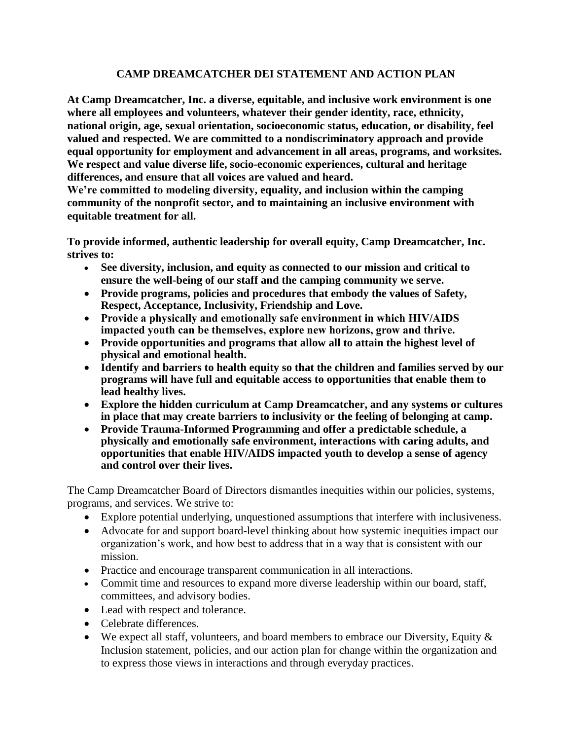## **CAMP DREAMCATCHER DEI STATEMENT AND ACTION PLAN**

**At Camp Dreamcatcher, Inc. a diverse, equitable, and inclusive work environment is one where all employees and volunteers, whatever their gender identity, race, ethnicity, national origin, age, sexual orientation, socioeconomic status, education, or disability, feel valued and respected. We are committed to a nondiscriminatory approach and provide equal opportunity for employment and advancement in all areas, programs, and worksites. We respect and value diverse life, socio-economic experiences, cultural and heritage differences, and ensure that all voices are valued and heard.**

**We're committed to modeling diversity, equality, and inclusion within the camping community of the nonprofit sector, and to maintaining an inclusive environment with equitable treatment for all.**

**To provide informed, authentic leadership for overall equity, Camp Dreamcatcher, Inc. strives to:**

- **See diversity, inclusion, and equity as connected to our mission and critical to ensure the well-being of our staff and the camping community we serve.**
- **Provide programs, policies and procedures that embody the values of Safety, Respect, Acceptance, Inclusivity, Friendship and Love.**
- **Provide a physically and emotionally safe environment in which HIV/AIDS impacted youth can be themselves, explore new horizons, grow and thrive.**
- **Provide opportunities and programs that allow all to attain the highest level of physical and emotional health.**
- **Identify and barriers to health equity so that the children and families served by our programs will have full and equitable access to opportunities that enable them to lead healthy lives.**
- **Explore the hidden curriculum at Camp Dreamcatcher, and any systems or cultures in place that may create barriers to inclusivity or the feeling of belonging at camp.**
- **Provide Trauma-Informed Programming and offer a predictable schedule, a physically and emotionally safe environment, interactions with caring adults, and opportunities that enable HIV/AIDS impacted youth to develop a sense of agency and control over their lives.**

The Camp Dreamcatcher Board of Directors dismantles inequities within our policies, systems, programs, and services. We strive to:

- Explore potential underlying, unquestioned assumptions that interfere with inclusiveness.
- Advocate for and support board-level thinking about how systemic inequities impact our organization's work, and how best to address that in a way that is consistent with our mission.
- Practice and encourage transparent communication in all interactions.
- Commit time and resources to expand more diverse leadership within our board, staff, committees, and advisory bodies.
- Lead with respect and tolerance.
- Celebrate differences.
- We expect all staff, volunteers, and board members to embrace our Diversity, Equity  $\&$ Inclusion statement, policies, and our action plan for change within the organization and to express those views in interactions and through everyday practices.